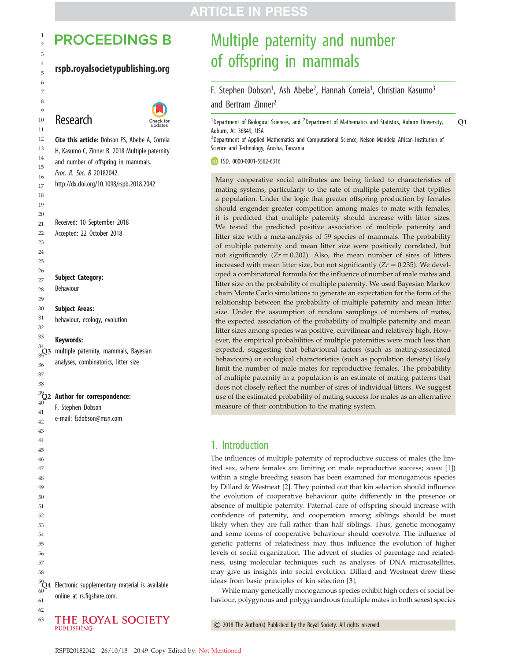# **PROCEEDINGS B**

### rspb.royalsocietypublishing.org

Check for<br>updates

Research

#### 12 Cite this article: Dobson FS, Abebe A, Correia 13 H, Kasumo C, Zinner B. 2018 Multiple paternity 14 and number of offspring in mammals. 15 Proc. R. Soc. B 20182042. 16 http://dx.doi.org/10.1098/rspb.2018.2042 17 18 19 20 Received: 10 September 2018 21 22 Accepted: 22 October 2018 23 24 25 26 Subject Category: 27 Behaviour 28 29 30 Subject Areas: 31 behaviour, ecology, evolution 32 33 Keywords: 34 multiple paternity, mammals, Bayesian  $35^{\circ}$ analyses, combinatorics, litter size 36 37 38  $^{3}$ Q2 Author for correspondence:  $40$ F. Stephen Dobson 41 e-mail: fsdobson@msn.com 42 43 44 45 46 47 48 49 50 51 52 53 54 55 56 57 58  $^{59}$ Q4 Electronic supplementary material is available 60 online at rs.figshare.com. 61 62 63 THE ROYAL SOCIETY **PUBLISHING**

# Multiple paternity and number of offspring in mammals

F. Stephen Dobson<sup>1</sup>, Ash Abebe<sup>2</sup>, Hannah Correia<sup>1</sup>, Christian Kasumo<sup>3</sup> and Bertram Zinner<sup>2</sup>

 $^{\text{1}}$ Department of Biological Sciences, and  $^{\text{2}}$ Department of Mathematics and Statistics, Auburn University,  $\quad$  Q1 Auburn, AL 36849, USA

 ${}^{3}$ Department of Applied Mathematics and Computational Science, Nelson Mandela African Institution of Science and Technology, Arusha, Tanzania

FSD, 0000-0001-5562-6316

Many cooperative social attributes are being linked to characteristics of mating systems, particularly to the rate of multiple paternity that typifies a population. Under the logic that greater offspring production by females should engender greater competition among males to mate with females, it is predicted that multiple paternity should increase with litter sizes. We tested the predicted positive association of multiple paternity and litter size with a meta-analysis of 59 species of mammals. The probability of multiple paternity and mean litter size were positively correlated, but not significantly ( $Zr = 0.202$ ). Also, the mean number of sires of litters increased with mean litter size, but not significantly ( $Zr = 0.235$ ). We developed a combinatorial formula for the influence of number of male mates and litter size on the probability of multiple paternity. We used Bayesian Markov chain Monte Carlo simulations to generate an expectation for the form of the relationship between the probability of multiple paternity and mean litter size. Under the assumption of random samplings of numbers of mates, the expected association of the probability of multiple paternity and mean litter sizes among species was positive, curvilinear and relatively high. However, the empirical probabilities of multiple paternities were much less than expected, suggesting that behavioural factors (such as mating-associated behaviours) or ecological characteristics (such as population density) likely limit the number of male mates for reproductive females. The probability of multiple paternity in a population is an estimate of mating patterns that does not closely reflect the number of sires of individual litters. We suggest use of the estimated probability of mating success for males as an alternative measure of their contribution to the mating system.

### 1. Introduction

The influences of multiple paternity of reproductive success of males (the limited sex, where females are limiting on male reproductive success; sensu [1]) within a single breeding season has been examined for monogamous species by Dillard & Westneat [2]. They pointed out that kin selection should influence the evolution of cooperative behaviour quite differently in the presence or absence of multiple paternity. Paternal care of offspring should increase with confidence of paternity, and cooperation among siblings should be most likely when they are full rather than half siblings. Thus, genetic monogamy and some forms of cooperative behaviour should coevolve. The influence of genetic patterns of relatedness may thus influence the evolution of higher levels of social organization. The advent of studies of parentage and relatedness, using molecular techniques such as analyses of DNA microsatellites, may give us insights into social evolution. Dillard and Westneat drew these ideas from basic principles of kin selection [3].

While many genetically monogamous species exhibit high orders of social behaviour, polygynous and polygynandrous (multiple mates in both sexes) species

& 2018 The Author(s) Published by the Royal Society. All rights reserved.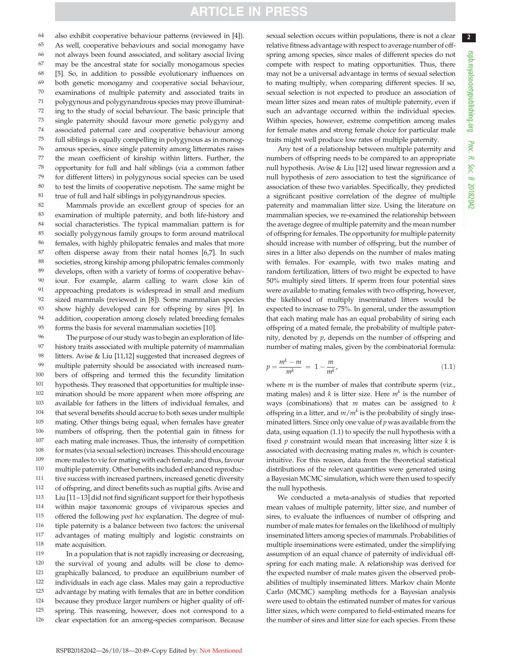$^{64}$  also exhibit cooperative behaviour patterns (reviewed in [4]). Sexual selection occurs within populations, there is not a clear  $\overline{\phantom{a}}$ As well, cooperative behaviours and social monogamy have not always been found associated, and solitary asocial living may be the ancestral state for socially monogamous species [5]. So, in addition to possible evolutionary influences on both genetic monogamy and cooperative social behaviour, examinations of multiple paternity and associated traits in polygynous and polygynandrous species may prove illuminating to the study of social behaviour. The basic principle that single paternity should favour more genetic polygyny and associated paternal care and cooperative behaviour among full siblings is equally compelling in polygynous as in monogamous species, since single paternity among littermates raises the mean coefficient of kinship within litters. Further, the opportunity for full and half siblings (via a common father for different litters) in polygynous social species can be used to test the limits of cooperative nepotism. The same might be true of full and half siblings in polygynandrous species. 65 66 67 68 69 70 71 72 73 74 75 76 77 78 79 80 81

Mammals provide an excellent group of species for an examination of multiple paternity, and both life-history and social characteristics. The typical mammalian pattern is for socially polygynous family groups to form around matrilocal females, with highly philopatric females and males that more often disperse away from their natal homes [6,7]. In such societies, strong kinship among philopatric females commonly develops, often with a variety of forms of cooperative behaviour. For example, alarm calling to warn close kin of approaching predators is widespread in small and medium sized mammals (reviewed in [8]). Some mammalian species show highly developed care for offspring by sires [9]. In addition, cooperation among closely related breeding females forms the basis for several mammalian societies [10]. 82 83 84 85 86 87 88 89 90 91 92 93 94 95

The purpose of our study was to begin an exploration of lifehistory traits associated with multiple paternity of mammalian litters. Avise & Liu [11,12] suggested that increased degrees of multiple paternity should be associated with increased numbers of offspring and termed this the fecundity limitation hypothesis. They reasoned that opportunities for multiple insemination should be more apparent when more offspring are available for fathers in the litters of individual females, and that several benefits should accrue to both sexes under multiple mating. Other things being equal, when females have greater numbers of offspring, then the potential gain in fitness for each mating male increases. Thus, the intensity of competition for mates (via sexual selection) increases. This should encourage more males to vie for mating with each female; and thus, favour multiple paternity. Other benefits included enhanced reproductive success with increased partners, increased genetic diversity of offspring, and direct benefits such as nuptial gifts. Avise and Liu [11–13] did not find significant support for their hypothesis within major taxonomic groups of viviparous species and offered the following post hoc explanation. The degree of multiple paternity is a balance between two factors: the universal advantages of mating multiply and logistic constraints on mate acquisition. 96 97 98 99 100 101 102 103 104 105 106 107 108 109 110 111 112 113 114 115 116 117 118

In a population that is not rapidly increasing or decreasing, the survival of young and adults will be close to demographically balanced, to produce an equilibrium number of individuals in each age class. Males may gain a reproductive advantage by mating with females that are in better condition because they produce larger numbers or higher quality of offspring. This reasoning, however, does not correspond to a clear expectation for an among-species comparison. Because 119 120 121 122 123 124 125 126

sexual selection occurs within populations, there is not a clear relative fitness advantage with respect to average number of offspring among species, since males of different species do not compete with respect to mating opportunities. Thus, there may not be a universal advantage in terms of sexual selection to mating multiply, when comparing different species. If so, sexual selection is not expected to produce an association of mean litter sizes and mean rates of multiple paternity, even if such an advantage occurred within the individual species. Within species, however, extreme competition among males for female mates and strong female choice for particular male traits might well produce low rates of multiple paternity.

Any test of a relationship between multiple paternity and numbers of offspring needs to be compared to an appropriate null hypothesis. Avise & Liu [12] used linear regression and a null hypothesis of zero association to test the significance of association of these two variables. Specifically, they predicted a significant positive correlation of the degree of multiple paternity and mammalian litter size. Using the literature on mammalian species, we re-examined the relationship between the average degree of multiple paternity and the mean number of offspring for females. The opportunity for multiple paternity should increase with number of offspring, but the number of sires in a litter also depends on the number of males mating with females. For example, with two males mating and random fertilization, litters of two might be expected to have 50% multiply sired litters. If sperm from four potential sires were available to mating females with two offspring, however, the likelihood of multiply inseminated litters would be expected to increase to 75%. In general, under the assumption that each mating male has an equal probability of siring each offspring of a mated female, the probability of multiple paternity, denoted by p, depends on the number of offspring and number of mating males, given by the combinatorial formula:

$$
p = \frac{m^k - m}{m^k} = 1 - \frac{m}{m^k},
$$
\n(1.1)

where  $m$  is the number of males that contribute sperm (viz., mating males) and k is litter size. Here  $m<sup>k</sup>$  is the number of ways (combinations) that  $m$  mates can be assigned to  $k$ offspring in a litter, and  $m/m<sup>k</sup>$  is the probability of singly inseminated litters. Since only one value of  $p$  was available from the data, using equation (1.1) to specify the null hypothesis with a fixed  $p$  constraint would mean that increasing litter size  $k$  is associated with decreasing mating males m, which is counterintuitive. For this reason, data from the theoretical statistical distributions of the relevant quantities were generated using a Bayesian MCMC simulation, which were then used to specify the null hypothesis.

We conducted a meta-analysis of studies that reported mean values of multiple paternity, litter size, and number of sires, to evaluate the influences of number of offspring and number of male mates for females on the likelihood of multiply inseminated litters among species of mammals. Probabilities of multiple inseminations were estimated, under the simplifying assumption of an equal chance of paternity of individual offspring for each mating male. A relationship was derived for the expected number of male mates given the observed probabilities of multiply inseminated litters. Markov chain Monte Carlo (MCMC) sampling methods for a Bayesian analysis were used to obtain the estimated number of mates for various litter sizes, which were compared to field-estimated means for the number of sires and litter size for each species. From these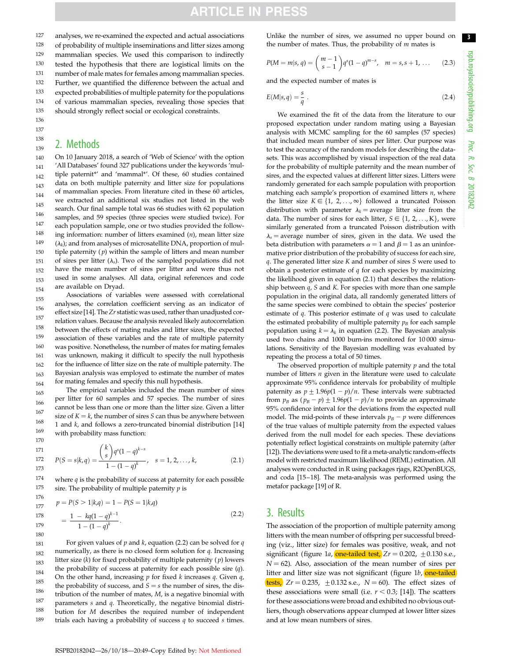analyses, we re-examined the expected and actual associations of probability of multiple inseminations and litter sizes among mammalian species. We used this comparison to indirectly tested the hypothesis that there are logistical limits on the number of male mates for females among mammalian species. Further, we quantified the difference between the actual and expected probabilities of multiple paternity for the populations of various mammalian species, revealing those species that should strongly reflect social or ecological constraints.  $127$  analyses, we re-examined the expected and actual associations Unlike the number of sires, we assumed no upper bound on 128 129 130 131 132 133 134 135

136 137

#### 2. Methods 138 139

On 10 January 2018, a search of 'Web of Science' with the option 'All Databases' found 327 publications under the keywords 'multiple paternit\*' and 'mammal\*'. Of these, 60 studies contained data on both multiple paternity and litter size for populations of mammalian species. From literature cited in these 60 articles, we extracted an additional six studies not listed in the web search. Our final sample total was 66 studies with 62 population samples, and 59 species (three species were studied twice). For each population sample, one or two studies provided the following information: number of litters examined  $(n)$ , mean litter size  $(\lambda_k)$ ; and from analyses of microsatellite DNA, proportion of multiple paternity  $(p)$  within the sample of litters and mean number of sires per litter  $(\lambda_s)$ . Two of the sampled populations did not have the mean number of sires per litter and were thus not used in some analyses. All data, original references and code are available on Dryad. 140 141 142 143 144 145 146 147 148 149 150 151 152 153 154

Associations of variables were assessed with correlational analyses, the correlation coefficient serving as an indicator of effect size [14]. The  $Zr$  statistic was used, rather than unadjusted correlation values. Because the analysis revealed likely autocorrelation between the effects of mating males and litter sizes, the expected association of these variables and the rate of multiple paternity was positive. Nonetheless, the number of mates for mating females was unknown, making it difficult to specify the null hypothesis for the influence of litter size on the rate of multiple paternity. The Bayesian analysis was employed to estimate the number of mates for mating females and specify this null hypothesis. 155 156 157 158 159 160 161 162 163 164

The empirical variables included the mean number of sires per litter for 60 samples and 57 species. The number of sires cannot be less than one or more than the litter size. Given a litter size of  $K = k$ , the number of sires S can thus be anywhere between 1 and  $k$ , and follows a zero-truncated binomial distribution [14] with probability mass function: 165 166 167 168 169 170

$$
P(S = s|k, q) = \frac{{\binom{k}{s}}}{1 - (1 - q)^k}, \quad s = 1, 2, ..., k,
$$
 (2.1)

where  $q$  is the probability of success at paternity for each possible sire. The probability of multiple paternity  $p$  is

$$
p = P(S > 1|k,q) = 1 - P(S = 1|k,q)
$$
  
= 
$$
\frac{1 - kq(1 - q)^{k-1}}{1 - (1 - q)^{k}}.
$$
 (2.2)

For given values of  $p$  and  $k$ , equation (2.2) can be solved for  $q$ numerically, as there is no closed form solution for q. Increasing litter size  $(k)$  for fixed probability of multiple paternity  $(p)$  lowers the probability of success at paternity for each possible sire  $(q)$ . On the other hand, increasing  $p$  for fixed  $k$  increases  $q$ . Given  $q$ , the probability of success, and  $S = s$  the number of sires, the distribution of the number of mates, M, is a negative binomial with parameters s and q. Theoretically, the negative binomial distribution for M describes the required number of independent trials each having a probability of success  $q$  to succeed  $s$  times. 181 182 183 184 185 186 187 188 189

the number of mates. Thus, the probability of  $m$  mates is

$$
P(M = m|s, q) = {m-1 \choose s-1} q^{s} (1-q)^{m-s}, \quad m = s, s+1, ... \quad (2.3)
$$

and the expected number of mates is

$$
E(M|s,q) = \frac{s}{q} \tag{2.4}
$$

We examined the fit of the data from the literature to our proposed expectation under random mating using a Bayesian analysis with MCMC sampling for the 60 samples (57 species) that included mean number of sires per litter. Our purpose was to test the accuracy of the random models for describing the datasets. This was accomplished by visual inspection of the real data for the probability of multiple paternity and the mean number of sires, and the expected values at different litter sizes. Litters were randomly generated for each sample population with proportion matching each sample's proportion of examined litters  $n$ , where the litter size  $K \in \{1, 2, ..., \infty\}$  followed a truncated Poisson distribution with parameter  $\lambda_k$  = average litter size from the data. The number of sires for each litter,  $S \in \{1, 2, ..., K\}$ , were similarly generated from a truncated Poisson distribution with  $\lambda_s$  = average number of sires, given in the data. We used the beta distribution with parameters  $\alpha = 1$  and  $\beta = 1$  as an uninformative prior distribution of the probability of success for each sire, q. The generated litter size K and number of sires S were used to obtain a posterior estimate of  $q$  for each species by maximizing the likelihood given in equation (2.1) that describes the relationship between  $q$ , S and K. For species with more than one sample population in the original data, all randomly generated litters of the same species were combined to obtain the species' posterior estimate of q. This posterior estimate of q was used to calculate the estimated probability of multiple paternity  $p_B$  for each sample population using  $k = \lambda_k$  in equation (2.2). The Bayesian analysis used two chains and 1000 burn-ins monitored for 10 000 simulations. Sensitivity of the Bayesian modelling was evaluated by repeating the process a total of 50 times.

The observed proportion of multiple paternity  $p$  and the total number of litters  $n$  given in the literature were used to calculate approximate 95% confidence intervals for probability of multiple paternity as  $p \pm 1.96p(1 - p)/n$ . These intervals were subtracted from  $p_B$  as  $(p_B - p) \pm 1.96p(1 - p)/n$  to provide an approximate 95% confidence interval for the deviations from the expected null model. The mid-points of these intervals  $p_B - p$  were differences of the true values of multiple paternity from the expected values derived from the null model for each species. These deviations potentially reflect logistical constraints on multiple paternity (after [12]). The deviations were used to fit a meta-analytic random-effects model with restricted maximum likelihood (REML) estimation. All analyses were conducted in R using packages rjags, R2OpenBUGS, and coda [15–18]. The meta-analysis was performed using the metafor package [19] of R.

### 3. Results

The association of the proportion of multiple paternity among litters with the mean number of offspring per successful breeding (viz., litter size) for females was positive, weak, and not significant (figure 1*a,* one-tailed test, Z*r* = 0.202,  $\pm$ 0.130 s.e.,  $N = 62$ ). Also, association of the mean number of sires per litter and litter size was not significant (figure  $1b$ , one-tailed tests,  $Zr = 0.235$ ,  $\pm 0.132$  s.e.,  $N = 60$ ). The effect sizes of these associations were small (i.e.  $r < 0.3$ ; [14]). The scatters for these associations were broad and exhibited no obvious outliers, though observations appear clumped at lower litter sizes and at low mean numbers of sires.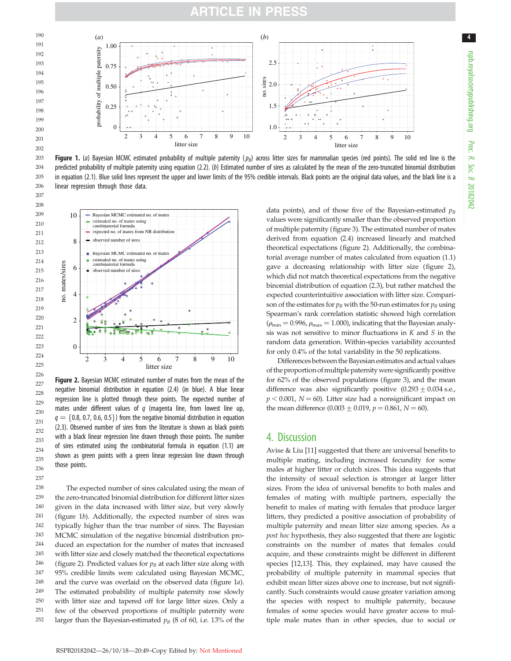

Figure 1. (a) Bayesian MCMC estimated probability of multiple paternity ( $p_B$ ) across litter sizes for mammalian species (red points). The solid red line is the predicted probability of multiple paternity using equation (2.2). (b) Estimated number of sires as calculated by the mean of the zero-truncated binomial distribution in equation (2.1). Blue solid lines represent the upper and lower limits of the 95% credible intervals. Black points are the original data values, and the black line is a linear regression through those data. 203 204 205 206



197

201

207

211

217

221

237

Figure 2. Bayesian MCMC estimated number of mates from the mean of the negative binomial distribution in equation (2.4) (in blue). A blue linear regression line is plotted through these points. The expected number of mates under different values of  $q$  (magenta line, from lowest line up,  $q = \{0.8, 0.7, 0.6, 0.5\}$  from the negative binomial distribution in equation (2.3). Observed number of sires from the literature is shown as black points with a black linear regression line drawn through those points. The number of sires estimated using the combinatorial formula in equation (1.1) are shown as green points with a green linear regression line drawn through those points. 227 228 229 230 231 232 233 234 235 236

The expected number of sires calculated using the mean of the zero-truncated binomial distribution for different litter sizes given in the data increased with litter size, but very slowly (figure 1b). Additionally, the expected number of sires was typically higher than the true number of sires. The Bayesian MCMC simulation of the negative binomial distribution produced an expectation for the number of mates that increased with litter size and closely matched the theoretical expectations (figure 2). Predicted values for  $p_B$  at each litter size along with 95% credible limits were calculated using Bayesian MCMC, and the curve was overlaid on the observed data (figure 1a). The estimated probability of multiple paternity rose slowly with litter size and tapered off for large litter sizes. Only a few of the observed proportions of multiple paternity were larger than the Bayesian-estimated  $p_B$  (8 of 60, i.e. 13% of the 238 239 240 241 242 243 244 245 246 247 248 249 250 251 252

data points), and of those five of the Bayesian-estimated  $p_B$ values were significantly smaller than the observed proportion of multiple paternity (figure 3). The estimated number of mates derived from equation (2.4) increased linearly and matched theoretical expectations (figure 2). Additionally, the combinatorial average number of mates calculated from equation (1.1) gave a decreasing relationship with litter size (figure 2), which did not match theoretical expectations from the negative binomial distribution of equation (2.3), but rather matched the expected counterintuitive association with litter size. Comparison of the estimates for  $p_B$  with the 50-run estimates for  $p_B$  using Spearman's rank correlation statistic showed high correlation  $(\rho_{\min} = 0.996, \rho_{\max} = 1.000)$ , indicating that the Bayesian analysis was not sensitive to minor fluctuations in K and S in the random data generation. Within-species variability accounted for only 0.4% of the total variability in the 50 replications.

Differences between the Bayesian estimates and actual values of the proportion ofmultiple paternity were significantly positive for 62% of the observed populations (figure 3), and the mean difference was also significantly positive  $(0.293 \pm 0.034 \text{ s.e.,})$  $p < 0.001$ ,  $N = 60$ ). Litter size had a nonsignificant impact on the mean difference (0.003  $\pm$  0.019,  $p = 0.861$ ,  $N = 60$ ).

### 4. Discussion

Avise & Liu [11] suggested that there are universal benefits to multiple mating, including increased fecundity for some males at higher litter or clutch sizes. This idea suggests that the intensity of sexual selection is stronger at larger litter sizes. From the idea of universal benefits to both males and females of mating with multiple partners, especially the benefit to males of mating with females that produce larger litters, they predicted a positive association of probability of multiple paternity and mean litter size among species. As a post hoc hypothesis, they also suggested that there are logistic constraints on the number of mates that females could acquire, and these constraints might be different in different species [12,13]. This, they explained, may have caused the probability of multiple paternity in mammal species that exhibit mean litter sizes above one to increase, but not significantly. Such constraints would cause greater variation among the species with respect to multiple paternity, because females of some species would have greater access to multiple male mates than in other species, due to social or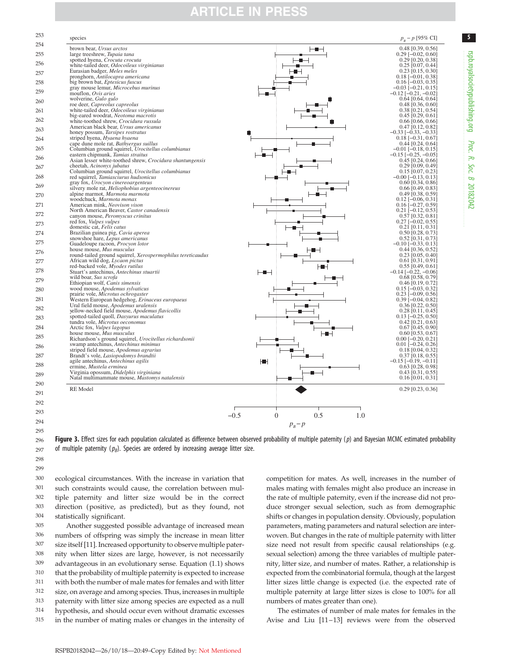| brown bear, Ursus arctos<br>$0.48$ [0.39, 0.56]<br>$0.29$ [ $-0.02$ , $0.60$ ]<br>large treeshrew, Tupaia tana<br>spotted hyena, Crocuta crocuta<br>$0.29$ [0.20, 0.38]<br>white-tailed deer, Odocoileus virginianus<br>$0.25$ [0.07, 0.44]<br>Eurasian badger, Meles meles<br>$0.23$ [0.15, 0.30]<br>pronghorn, Antilocapra americana<br>$0.18$ [ $-0.01$ , $0.38$ ]<br>big brown bat, Eptesicus fuscus<br>$0.16$ [ $-0.03$ , $0.35$ ]<br>$-0.03$ $[-0.21, 0.15]$<br>gray mouse lemur, Microcebus murinus<br>$-0.12$ [ $-0.21$ , $-0.02$ ]<br>mouflon, Ovis aries<br>wolverine, Gulo gulo<br>$0.64$ [0.64, 0.64]<br>roe deer, Capreolus capreolus<br>$0.48$ [0.36, 0.60]<br>white-tailed deer, Odocoileus virginianus<br>$0.38$ [0.21, 0.54]<br>big-eared woodrat, Neotoma macrotis<br>$0.45$ [0.29, 0.61]<br>white-toothed shrew, Crocidura russula<br>$0.66$ [0.66, 0.66]<br>American black bear, Ursus americanus<br>$0.47$ [0.12, 0.82]<br>honey possum, Tarsipes rostratus<br>$-0.33$ [ $-0.33$ , $-0.33$ ]<br>striped hyena, Hyaena hyaena<br>$0.18$ [-0.31, 0.67]<br>cape dune mole rat, Bathyergus suillus<br>$0.44$ [0.24, 0.64]<br>Columbian ground squirrel, Urocitellus columbianus<br>$-0.01$ [ $-0.18$ , 0.15]<br>$-0.15$ [ $-0.25$ , $-0.05$ ]<br>eastern chipmunk, Tamias straitus<br>Asian lesser white-toothed shrew, Crocidura shantungensis<br>$0.45$ [0.24, 0.66]<br>$0.29$ [0.09, 0.49]<br>cheetah, Acinonyx jubatus<br>Columbian ground squirrel, Urocitellus columbianus<br>$0.15$ [0.07, 0.23]<br>red squirrel, Tamiasciurus hudsonicus<br>$-0.00$ [ $-0.13$ , 0.13]<br>0.60 [0.34, 0.86]<br>gray fox, Urocyon cinereoargenteus<br>silvery mole rat, Heliophobius argenteocinereus<br>$0.66$ [0.49, 0.83]<br>alpine marmot, Marmota marmota<br>$0.49$ [0.38, 0.59]<br>woodchuck, Marmota monax<br>$0.12$ [-0.06, 0.31]<br>American mink, Neovison vison<br>$0.16$ [ $-0.27, 0.59$ ]<br>North American Beaver, Castor canadensis<br>$0.21$ [-0.12, 0.53]<br>canyon mouse, Peromyscus crinitus<br>$0.57$ [0.32, 0.81]<br>red fox, Vulpes vulpes<br>$0.27$ [-0.02, 0.55]<br>$0.21$ [0.11, 0.31]<br>domestic cat, Felis catus<br>$0.50$ [0.28, 0.73]<br>Brazilian guinea pig, Cavia aperea<br>$0.52$ [0.31, 0.73]<br>snowshoe hare, Lepus americanus<br>Guadeloupe racoon, Procyon lotor<br>–0.10 [–0.33, 0.13]<br>$0.44$ [0.36, 0.52]<br>house mouse, Mus musculus<br>round-tailed ground squirrel, Xerospermophilus tereticaudus<br>$0.23$ [0.05, 0.40]<br>African wild dog, Lycaon pictus<br>$0.61$ [0.31, 0.91]<br>red-backed vole, Myodes rutilus<br>$0.55$ [0.49, 0.61]<br>Stuart's antechinus, Antechinus stuartii<br>$-0.14$ [ $-0.22, -0.06$ ]<br>wild boar, Sus scrofa<br>$0.68$ [0.58, 0.79]<br>Ethiopian wolf, Canis simensis<br>$0.46$ [0.19, 0.72]<br>wood mouse, Apodemus sylvaticus<br>$0.15$ [ $-0.03$ , $0.32$ ]<br>prairie vole, Microtus ochrogaster<br>$0.23$ [ $-0.09, 0.56$ ]<br>$0.39$ [-0.04, 0.82]<br>Western European hedgehog, Erinaceus europaeus<br>Ural field mouse, Apodemus uralensis<br>$0.36$ [0.22, 0.50]<br>$0.28$ [0.11, 0.45]<br>vellow-necked field mouse, Apodemus flavicollis<br>$0.13$ [-0.25, 0.50]<br>spotted-tailed quoll, Dasyurus maculatus<br>tundra vole, Microtus oeconomus<br>$0.42$ [0.21, 0.63]<br>Arctic fox, Vulpes lagopus<br>$0.67$ [0.45, 0.90]<br>house mouse, Mus musculus<br>$0.60$ [0.53, 0.67]<br>Richardson's ground squirrel, Urocitellus richardsonii<br>$0.00$ [ $-0.20$ , $0.21$ ]<br>swamp antechinus, Antechinus minimus<br>$0.01$ [-0.24, 0.26]<br>striped field mouse, Apodemus agrarius<br>$0.18$ [0.04, 0.32]<br>Brandt's vole, <i>Lasiopodomys brandtii</i><br>$0.37$ [0.18, 0.55]<br>agile antechinus, Antechinus agilis<br>$-0.15$ [ $-0.19$ , $-0.11$ ]<br>$0.63$ [0.28, 0.98]<br>ermine, Mustela erminea<br>Virginia opossum, Didelphis virginiana<br>$0.43$ [0.31, 0.55]<br>Natal multimammate mouse, Mastomys natalensis<br>$0.16$ [0.01, 0.31]<br>RE Model<br>$0.29$ [0.23, 0.36]<br>$-0.5$<br>$\mathbf{0}$<br>0.5<br>1.0<br>$p_B - p$ |            | species | $p_{\scriptscriptstyle B}$ – $p$ [95% CI] |
|-------------------------------------------------------------------------------------------------------------------------------------------------------------------------------------------------------------------------------------------------------------------------------------------------------------------------------------------------------------------------------------------------------------------------------------------------------------------------------------------------------------------------------------------------------------------------------------------------------------------------------------------------------------------------------------------------------------------------------------------------------------------------------------------------------------------------------------------------------------------------------------------------------------------------------------------------------------------------------------------------------------------------------------------------------------------------------------------------------------------------------------------------------------------------------------------------------------------------------------------------------------------------------------------------------------------------------------------------------------------------------------------------------------------------------------------------------------------------------------------------------------------------------------------------------------------------------------------------------------------------------------------------------------------------------------------------------------------------------------------------------------------------------------------------------------------------------------------------------------------------------------------------------------------------------------------------------------------------------------------------------------------------------------------------------------------------------------------------------------------------------------------------------------------------------------------------------------------------------------------------------------------------------------------------------------------------------------------------------------------------------------------------------------------------------------------------------------------------------------------------------------------------------------------------------------------------------------------------------------------------------------------------------------------------------------------------------------------------------------------------------------------------------------------------------------------------------------------------------------------------------------------------------------------------------------------------------------------------------------------------------------------------------------------------------------------------------------------------------------------------------------------------------------------------------------------------------------------------------------------------------------------------------------------------------------------------------------------------------------------------------------------------------------------------------------------------------------------------------------------------------------------------------------------------------------------------------------------------------------------------------------------------------------------------------------------------------------------------------------------------------------------------------------------------------------------------------------------------------------------------------------------------------------------------------------------------------------------------------------------------------------------------------------------------|------------|---------|-------------------------------------------|
|                                                                                                                                                                                                                                                                                                                                                                                                                                                                                                                                                                                                                                                                                                                                                                                                                                                                                                                                                                                                                                                                                                                                                                                                                                                                                                                                                                                                                                                                                                                                                                                                                                                                                                                                                                                                                                                                                                                                                                                                                                                                                                                                                                                                                                                                                                                                                                                                                                                                                                                                                                                                                                                                                                                                                                                                                                                                                                                                                                                                                                                                                                                                                                                                                                                                                                                                                                                                                                                                                                                                                                                                                                                                                                                                                                                                                                                                                                                                                                                                                                                 |            |         |                                           |
|                                                                                                                                                                                                                                                                                                                                                                                                                                                                                                                                                                                                                                                                                                                                                                                                                                                                                                                                                                                                                                                                                                                                                                                                                                                                                                                                                                                                                                                                                                                                                                                                                                                                                                                                                                                                                                                                                                                                                                                                                                                                                                                                                                                                                                                                                                                                                                                                                                                                                                                                                                                                                                                                                                                                                                                                                                                                                                                                                                                                                                                                                                                                                                                                                                                                                                                                                                                                                                                                                                                                                                                                                                                                                                                                                                                                                                                                                                                                                                                                                                                 |            |         |                                           |
|                                                                                                                                                                                                                                                                                                                                                                                                                                                                                                                                                                                                                                                                                                                                                                                                                                                                                                                                                                                                                                                                                                                                                                                                                                                                                                                                                                                                                                                                                                                                                                                                                                                                                                                                                                                                                                                                                                                                                                                                                                                                                                                                                                                                                                                                                                                                                                                                                                                                                                                                                                                                                                                                                                                                                                                                                                                                                                                                                                                                                                                                                                                                                                                                                                                                                                                                                                                                                                                                                                                                                                                                                                                                                                                                                                                                                                                                                                                                                                                                                                                 |            |         |                                           |
|                                                                                                                                                                                                                                                                                                                                                                                                                                                                                                                                                                                                                                                                                                                                                                                                                                                                                                                                                                                                                                                                                                                                                                                                                                                                                                                                                                                                                                                                                                                                                                                                                                                                                                                                                                                                                                                                                                                                                                                                                                                                                                                                                                                                                                                                                                                                                                                                                                                                                                                                                                                                                                                                                                                                                                                                                                                                                                                                                                                                                                                                                                                                                                                                                                                                                                                                                                                                                                                                                                                                                                                                                                                                                                                                                                                                                                                                                                                                                                                                                                                 |            |         |                                           |
|                                                                                                                                                                                                                                                                                                                                                                                                                                                                                                                                                                                                                                                                                                                                                                                                                                                                                                                                                                                                                                                                                                                                                                                                                                                                                                                                                                                                                                                                                                                                                                                                                                                                                                                                                                                                                                                                                                                                                                                                                                                                                                                                                                                                                                                                                                                                                                                                                                                                                                                                                                                                                                                                                                                                                                                                                                                                                                                                                                                                                                                                                                                                                                                                                                                                                                                                                                                                                                                                                                                                                                                                                                                                                                                                                                                                                                                                                                                                                                                                                                                 |            |         |                                           |
|                                                                                                                                                                                                                                                                                                                                                                                                                                                                                                                                                                                                                                                                                                                                                                                                                                                                                                                                                                                                                                                                                                                                                                                                                                                                                                                                                                                                                                                                                                                                                                                                                                                                                                                                                                                                                                                                                                                                                                                                                                                                                                                                                                                                                                                                                                                                                                                                                                                                                                                                                                                                                                                                                                                                                                                                                                                                                                                                                                                                                                                                                                                                                                                                                                                                                                                                                                                                                                                                                                                                                                                                                                                                                                                                                                                                                                                                                                                                                                                                                                                 |            |         |                                           |
|                                                                                                                                                                                                                                                                                                                                                                                                                                                                                                                                                                                                                                                                                                                                                                                                                                                                                                                                                                                                                                                                                                                                                                                                                                                                                                                                                                                                                                                                                                                                                                                                                                                                                                                                                                                                                                                                                                                                                                                                                                                                                                                                                                                                                                                                                                                                                                                                                                                                                                                                                                                                                                                                                                                                                                                                                                                                                                                                                                                                                                                                                                                                                                                                                                                                                                                                                                                                                                                                                                                                                                                                                                                                                                                                                                                                                                                                                                                                                                                                                                                 |            |         |                                           |
|                                                                                                                                                                                                                                                                                                                                                                                                                                                                                                                                                                                                                                                                                                                                                                                                                                                                                                                                                                                                                                                                                                                                                                                                                                                                                                                                                                                                                                                                                                                                                                                                                                                                                                                                                                                                                                                                                                                                                                                                                                                                                                                                                                                                                                                                                                                                                                                                                                                                                                                                                                                                                                                                                                                                                                                                                                                                                                                                                                                                                                                                                                                                                                                                                                                                                                                                                                                                                                                                                                                                                                                                                                                                                                                                                                                                                                                                                                                                                                                                                                                 | 258        |         |                                           |
|                                                                                                                                                                                                                                                                                                                                                                                                                                                                                                                                                                                                                                                                                                                                                                                                                                                                                                                                                                                                                                                                                                                                                                                                                                                                                                                                                                                                                                                                                                                                                                                                                                                                                                                                                                                                                                                                                                                                                                                                                                                                                                                                                                                                                                                                                                                                                                                                                                                                                                                                                                                                                                                                                                                                                                                                                                                                                                                                                                                                                                                                                                                                                                                                                                                                                                                                                                                                                                                                                                                                                                                                                                                                                                                                                                                                                                                                                                                                                                                                                                                 | 259        |         |                                           |
|                                                                                                                                                                                                                                                                                                                                                                                                                                                                                                                                                                                                                                                                                                                                                                                                                                                                                                                                                                                                                                                                                                                                                                                                                                                                                                                                                                                                                                                                                                                                                                                                                                                                                                                                                                                                                                                                                                                                                                                                                                                                                                                                                                                                                                                                                                                                                                                                                                                                                                                                                                                                                                                                                                                                                                                                                                                                                                                                                                                                                                                                                                                                                                                                                                                                                                                                                                                                                                                                                                                                                                                                                                                                                                                                                                                                                                                                                                                                                                                                                                                 |            |         |                                           |
|                                                                                                                                                                                                                                                                                                                                                                                                                                                                                                                                                                                                                                                                                                                                                                                                                                                                                                                                                                                                                                                                                                                                                                                                                                                                                                                                                                                                                                                                                                                                                                                                                                                                                                                                                                                                                                                                                                                                                                                                                                                                                                                                                                                                                                                                                                                                                                                                                                                                                                                                                                                                                                                                                                                                                                                                                                                                                                                                                                                                                                                                                                                                                                                                                                                                                                                                                                                                                                                                                                                                                                                                                                                                                                                                                                                                                                                                                                                                                                                                                                                 |            |         |                                           |
|                                                                                                                                                                                                                                                                                                                                                                                                                                                                                                                                                                                                                                                                                                                                                                                                                                                                                                                                                                                                                                                                                                                                                                                                                                                                                                                                                                                                                                                                                                                                                                                                                                                                                                                                                                                                                                                                                                                                                                                                                                                                                                                                                                                                                                                                                                                                                                                                                                                                                                                                                                                                                                                                                                                                                                                                                                                                                                                                                                                                                                                                                                                                                                                                                                                                                                                                                                                                                                                                                                                                                                                                                                                                                                                                                                                                                                                                                                                                                                                                                                                 |            |         |                                           |
|                                                                                                                                                                                                                                                                                                                                                                                                                                                                                                                                                                                                                                                                                                                                                                                                                                                                                                                                                                                                                                                                                                                                                                                                                                                                                                                                                                                                                                                                                                                                                                                                                                                                                                                                                                                                                                                                                                                                                                                                                                                                                                                                                                                                                                                                                                                                                                                                                                                                                                                                                                                                                                                                                                                                                                                                                                                                                                                                                                                                                                                                                                                                                                                                                                                                                                                                                                                                                                                                                                                                                                                                                                                                                                                                                                                                                                                                                                                                                                                                                                                 |            |         |                                           |
|                                                                                                                                                                                                                                                                                                                                                                                                                                                                                                                                                                                                                                                                                                                                                                                                                                                                                                                                                                                                                                                                                                                                                                                                                                                                                                                                                                                                                                                                                                                                                                                                                                                                                                                                                                                                                                                                                                                                                                                                                                                                                                                                                                                                                                                                                                                                                                                                                                                                                                                                                                                                                                                                                                                                                                                                                                                                                                                                                                                                                                                                                                                                                                                                                                                                                                                                                                                                                                                                                                                                                                                                                                                                                                                                                                                                                                                                                                                                                                                                                                                 |            |         |                                           |
|                                                                                                                                                                                                                                                                                                                                                                                                                                                                                                                                                                                                                                                                                                                                                                                                                                                                                                                                                                                                                                                                                                                                                                                                                                                                                                                                                                                                                                                                                                                                                                                                                                                                                                                                                                                                                                                                                                                                                                                                                                                                                                                                                                                                                                                                                                                                                                                                                                                                                                                                                                                                                                                                                                                                                                                                                                                                                                                                                                                                                                                                                                                                                                                                                                                                                                                                                                                                                                                                                                                                                                                                                                                                                                                                                                                                                                                                                                                                                                                                                                                 |            |         |                                           |
|                                                                                                                                                                                                                                                                                                                                                                                                                                                                                                                                                                                                                                                                                                                                                                                                                                                                                                                                                                                                                                                                                                                                                                                                                                                                                                                                                                                                                                                                                                                                                                                                                                                                                                                                                                                                                                                                                                                                                                                                                                                                                                                                                                                                                                                                                                                                                                                                                                                                                                                                                                                                                                                                                                                                                                                                                                                                                                                                                                                                                                                                                                                                                                                                                                                                                                                                                                                                                                                                                                                                                                                                                                                                                                                                                                                                                                                                                                                                                                                                                                                 |            |         |                                           |
|                                                                                                                                                                                                                                                                                                                                                                                                                                                                                                                                                                                                                                                                                                                                                                                                                                                                                                                                                                                                                                                                                                                                                                                                                                                                                                                                                                                                                                                                                                                                                                                                                                                                                                                                                                                                                                                                                                                                                                                                                                                                                                                                                                                                                                                                                                                                                                                                                                                                                                                                                                                                                                                                                                                                                                                                                                                                                                                                                                                                                                                                                                                                                                                                                                                                                                                                                                                                                                                                                                                                                                                                                                                                                                                                                                                                                                                                                                                                                                                                                                                 |            |         |                                           |
|                                                                                                                                                                                                                                                                                                                                                                                                                                                                                                                                                                                                                                                                                                                                                                                                                                                                                                                                                                                                                                                                                                                                                                                                                                                                                                                                                                                                                                                                                                                                                                                                                                                                                                                                                                                                                                                                                                                                                                                                                                                                                                                                                                                                                                                                                                                                                                                                                                                                                                                                                                                                                                                                                                                                                                                                                                                                                                                                                                                                                                                                                                                                                                                                                                                                                                                                                                                                                                                                                                                                                                                                                                                                                                                                                                                                                                                                                                                                                                                                                                                 |            |         |                                           |
|                                                                                                                                                                                                                                                                                                                                                                                                                                                                                                                                                                                                                                                                                                                                                                                                                                                                                                                                                                                                                                                                                                                                                                                                                                                                                                                                                                                                                                                                                                                                                                                                                                                                                                                                                                                                                                                                                                                                                                                                                                                                                                                                                                                                                                                                                                                                                                                                                                                                                                                                                                                                                                                                                                                                                                                                                                                                                                                                                                                                                                                                                                                                                                                                                                                                                                                                                                                                                                                                                                                                                                                                                                                                                                                                                                                                                                                                                                                                                                                                                                                 |            |         |                                           |
|                                                                                                                                                                                                                                                                                                                                                                                                                                                                                                                                                                                                                                                                                                                                                                                                                                                                                                                                                                                                                                                                                                                                                                                                                                                                                                                                                                                                                                                                                                                                                                                                                                                                                                                                                                                                                                                                                                                                                                                                                                                                                                                                                                                                                                                                                                                                                                                                                                                                                                                                                                                                                                                                                                                                                                                                                                                                                                                                                                                                                                                                                                                                                                                                                                                                                                                                                                                                                                                                                                                                                                                                                                                                                                                                                                                                                                                                                                                                                                                                                                                 |            |         |                                           |
|                                                                                                                                                                                                                                                                                                                                                                                                                                                                                                                                                                                                                                                                                                                                                                                                                                                                                                                                                                                                                                                                                                                                                                                                                                                                                                                                                                                                                                                                                                                                                                                                                                                                                                                                                                                                                                                                                                                                                                                                                                                                                                                                                                                                                                                                                                                                                                                                                                                                                                                                                                                                                                                                                                                                                                                                                                                                                                                                                                                                                                                                                                                                                                                                                                                                                                                                                                                                                                                                                                                                                                                                                                                                                                                                                                                                                                                                                                                                                                                                                                                 |            |         |                                           |
|                                                                                                                                                                                                                                                                                                                                                                                                                                                                                                                                                                                                                                                                                                                                                                                                                                                                                                                                                                                                                                                                                                                                                                                                                                                                                                                                                                                                                                                                                                                                                                                                                                                                                                                                                                                                                                                                                                                                                                                                                                                                                                                                                                                                                                                                                                                                                                                                                                                                                                                                                                                                                                                                                                                                                                                                                                                                                                                                                                                                                                                                                                                                                                                                                                                                                                                                                                                                                                                                                                                                                                                                                                                                                                                                                                                                                                                                                                                                                                                                                                                 |            |         |                                           |
|                                                                                                                                                                                                                                                                                                                                                                                                                                                                                                                                                                                                                                                                                                                                                                                                                                                                                                                                                                                                                                                                                                                                                                                                                                                                                                                                                                                                                                                                                                                                                                                                                                                                                                                                                                                                                                                                                                                                                                                                                                                                                                                                                                                                                                                                                                                                                                                                                                                                                                                                                                                                                                                                                                                                                                                                                                                                                                                                                                                                                                                                                                                                                                                                                                                                                                                                                                                                                                                                                                                                                                                                                                                                                                                                                                                                                                                                                                                                                                                                                                                 |            |         |                                           |
|                                                                                                                                                                                                                                                                                                                                                                                                                                                                                                                                                                                                                                                                                                                                                                                                                                                                                                                                                                                                                                                                                                                                                                                                                                                                                                                                                                                                                                                                                                                                                                                                                                                                                                                                                                                                                                                                                                                                                                                                                                                                                                                                                                                                                                                                                                                                                                                                                                                                                                                                                                                                                                                                                                                                                                                                                                                                                                                                                                                                                                                                                                                                                                                                                                                                                                                                                                                                                                                                                                                                                                                                                                                                                                                                                                                                                                                                                                                                                                                                                                                 |            |         |                                           |
|                                                                                                                                                                                                                                                                                                                                                                                                                                                                                                                                                                                                                                                                                                                                                                                                                                                                                                                                                                                                                                                                                                                                                                                                                                                                                                                                                                                                                                                                                                                                                                                                                                                                                                                                                                                                                                                                                                                                                                                                                                                                                                                                                                                                                                                                                                                                                                                                                                                                                                                                                                                                                                                                                                                                                                                                                                                                                                                                                                                                                                                                                                                                                                                                                                                                                                                                                                                                                                                                                                                                                                                                                                                                                                                                                                                                                                                                                                                                                                                                                                                 |            |         |                                           |
|                                                                                                                                                                                                                                                                                                                                                                                                                                                                                                                                                                                                                                                                                                                                                                                                                                                                                                                                                                                                                                                                                                                                                                                                                                                                                                                                                                                                                                                                                                                                                                                                                                                                                                                                                                                                                                                                                                                                                                                                                                                                                                                                                                                                                                                                                                                                                                                                                                                                                                                                                                                                                                                                                                                                                                                                                                                                                                                                                                                                                                                                                                                                                                                                                                                                                                                                                                                                                                                                                                                                                                                                                                                                                                                                                                                                                                                                                                                                                                                                                                                 |            |         |                                           |
|                                                                                                                                                                                                                                                                                                                                                                                                                                                                                                                                                                                                                                                                                                                                                                                                                                                                                                                                                                                                                                                                                                                                                                                                                                                                                                                                                                                                                                                                                                                                                                                                                                                                                                                                                                                                                                                                                                                                                                                                                                                                                                                                                                                                                                                                                                                                                                                                                                                                                                                                                                                                                                                                                                                                                                                                                                                                                                                                                                                                                                                                                                                                                                                                                                                                                                                                                                                                                                                                                                                                                                                                                                                                                                                                                                                                                                                                                                                                                                                                                                                 |            |         |                                           |
|                                                                                                                                                                                                                                                                                                                                                                                                                                                                                                                                                                                                                                                                                                                                                                                                                                                                                                                                                                                                                                                                                                                                                                                                                                                                                                                                                                                                                                                                                                                                                                                                                                                                                                                                                                                                                                                                                                                                                                                                                                                                                                                                                                                                                                                                                                                                                                                                                                                                                                                                                                                                                                                                                                                                                                                                                                                                                                                                                                                                                                                                                                                                                                                                                                                                                                                                                                                                                                                                                                                                                                                                                                                                                                                                                                                                                                                                                                                                                                                                                                                 |            |         |                                           |
|                                                                                                                                                                                                                                                                                                                                                                                                                                                                                                                                                                                                                                                                                                                                                                                                                                                                                                                                                                                                                                                                                                                                                                                                                                                                                                                                                                                                                                                                                                                                                                                                                                                                                                                                                                                                                                                                                                                                                                                                                                                                                                                                                                                                                                                                                                                                                                                                                                                                                                                                                                                                                                                                                                                                                                                                                                                                                                                                                                                                                                                                                                                                                                                                                                                                                                                                                                                                                                                                                                                                                                                                                                                                                                                                                                                                                                                                                                                                                                                                                                                 |            |         |                                           |
|                                                                                                                                                                                                                                                                                                                                                                                                                                                                                                                                                                                                                                                                                                                                                                                                                                                                                                                                                                                                                                                                                                                                                                                                                                                                                                                                                                                                                                                                                                                                                                                                                                                                                                                                                                                                                                                                                                                                                                                                                                                                                                                                                                                                                                                                                                                                                                                                                                                                                                                                                                                                                                                                                                                                                                                                                                                                                                                                                                                                                                                                                                                                                                                                                                                                                                                                                                                                                                                                                                                                                                                                                                                                                                                                                                                                                                                                                                                                                                                                                                                 |            |         |                                           |
|                                                                                                                                                                                                                                                                                                                                                                                                                                                                                                                                                                                                                                                                                                                                                                                                                                                                                                                                                                                                                                                                                                                                                                                                                                                                                                                                                                                                                                                                                                                                                                                                                                                                                                                                                                                                                                                                                                                                                                                                                                                                                                                                                                                                                                                                                                                                                                                                                                                                                                                                                                                                                                                                                                                                                                                                                                                                                                                                                                                                                                                                                                                                                                                                                                                                                                                                                                                                                                                                                                                                                                                                                                                                                                                                                                                                                                                                                                                                                                                                                                                 |            |         |                                           |
|                                                                                                                                                                                                                                                                                                                                                                                                                                                                                                                                                                                                                                                                                                                                                                                                                                                                                                                                                                                                                                                                                                                                                                                                                                                                                                                                                                                                                                                                                                                                                                                                                                                                                                                                                                                                                                                                                                                                                                                                                                                                                                                                                                                                                                                                                                                                                                                                                                                                                                                                                                                                                                                                                                                                                                                                                                                                                                                                                                                                                                                                                                                                                                                                                                                                                                                                                                                                                                                                                                                                                                                                                                                                                                                                                                                                                                                                                                                                                                                                                                                 |            |         |                                           |
|                                                                                                                                                                                                                                                                                                                                                                                                                                                                                                                                                                                                                                                                                                                                                                                                                                                                                                                                                                                                                                                                                                                                                                                                                                                                                                                                                                                                                                                                                                                                                                                                                                                                                                                                                                                                                                                                                                                                                                                                                                                                                                                                                                                                                                                                                                                                                                                                                                                                                                                                                                                                                                                                                                                                                                                                                                                                                                                                                                                                                                                                                                                                                                                                                                                                                                                                                                                                                                                                                                                                                                                                                                                                                                                                                                                                                                                                                                                                                                                                                                                 |            |         |                                           |
|                                                                                                                                                                                                                                                                                                                                                                                                                                                                                                                                                                                                                                                                                                                                                                                                                                                                                                                                                                                                                                                                                                                                                                                                                                                                                                                                                                                                                                                                                                                                                                                                                                                                                                                                                                                                                                                                                                                                                                                                                                                                                                                                                                                                                                                                                                                                                                                                                                                                                                                                                                                                                                                                                                                                                                                                                                                                                                                                                                                                                                                                                                                                                                                                                                                                                                                                                                                                                                                                                                                                                                                                                                                                                                                                                                                                                                                                                                                                                                                                                                                 |            |         |                                           |
|                                                                                                                                                                                                                                                                                                                                                                                                                                                                                                                                                                                                                                                                                                                                                                                                                                                                                                                                                                                                                                                                                                                                                                                                                                                                                                                                                                                                                                                                                                                                                                                                                                                                                                                                                                                                                                                                                                                                                                                                                                                                                                                                                                                                                                                                                                                                                                                                                                                                                                                                                                                                                                                                                                                                                                                                                                                                                                                                                                                                                                                                                                                                                                                                                                                                                                                                                                                                                                                                                                                                                                                                                                                                                                                                                                                                                                                                                                                                                                                                                                                 |            |         |                                           |
|                                                                                                                                                                                                                                                                                                                                                                                                                                                                                                                                                                                                                                                                                                                                                                                                                                                                                                                                                                                                                                                                                                                                                                                                                                                                                                                                                                                                                                                                                                                                                                                                                                                                                                                                                                                                                                                                                                                                                                                                                                                                                                                                                                                                                                                                                                                                                                                                                                                                                                                                                                                                                                                                                                                                                                                                                                                                                                                                                                                                                                                                                                                                                                                                                                                                                                                                                                                                                                                                                                                                                                                                                                                                                                                                                                                                                                                                                                                                                                                                                                                 |            |         |                                           |
|                                                                                                                                                                                                                                                                                                                                                                                                                                                                                                                                                                                                                                                                                                                                                                                                                                                                                                                                                                                                                                                                                                                                                                                                                                                                                                                                                                                                                                                                                                                                                                                                                                                                                                                                                                                                                                                                                                                                                                                                                                                                                                                                                                                                                                                                                                                                                                                                                                                                                                                                                                                                                                                                                                                                                                                                                                                                                                                                                                                                                                                                                                                                                                                                                                                                                                                                                                                                                                                                                                                                                                                                                                                                                                                                                                                                                                                                                                                                                                                                                                                 |            |         |                                           |
|                                                                                                                                                                                                                                                                                                                                                                                                                                                                                                                                                                                                                                                                                                                                                                                                                                                                                                                                                                                                                                                                                                                                                                                                                                                                                                                                                                                                                                                                                                                                                                                                                                                                                                                                                                                                                                                                                                                                                                                                                                                                                                                                                                                                                                                                                                                                                                                                                                                                                                                                                                                                                                                                                                                                                                                                                                                                                                                                                                                                                                                                                                                                                                                                                                                                                                                                                                                                                                                                                                                                                                                                                                                                                                                                                                                                                                                                                                                                                                                                                                                 |            |         |                                           |
|                                                                                                                                                                                                                                                                                                                                                                                                                                                                                                                                                                                                                                                                                                                                                                                                                                                                                                                                                                                                                                                                                                                                                                                                                                                                                                                                                                                                                                                                                                                                                                                                                                                                                                                                                                                                                                                                                                                                                                                                                                                                                                                                                                                                                                                                                                                                                                                                                                                                                                                                                                                                                                                                                                                                                                                                                                                                                                                                                                                                                                                                                                                                                                                                                                                                                                                                                                                                                                                                                                                                                                                                                                                                                                                                                                                                                                                                                                                                                                                                                                                 |            |         |                                           |
|                                                                                                                                                                                                                                                                                                                                                                                                                                                                                                                                                                                                                                                                                                                                                                                                                                                                                                                                                                                                                                                                                                                                                                                                                                                                                                                                                                                                                                                                                                                                                                                                                                                                                                                                                                                                                                                                                                                                                                                                                                                                                                                                                                                                                                                                                                                                                                                                                                                                                                                                                                                                                                                                                                                                                                                                                                                                                                                                                                                                                                                                                                                                                                                                                                                                                                                                                                                                                                                                                                                                                                                                                                                                                                                                                                                                                                                                                                                                                                                                                                                 |            |         |                                           |
|                                                                                                                                                                                                                                                                                                                                                                                                                                                                                                                                                                                                                                                                                                                                                                                                                                                                                                                                                                                                                                                                                                                                                                                                                                                                                                                                                                                                                                                                                                                                                                                                                                                                                                                                                                                                                                                                                                                                                                                                                                                                                                                                                                                                                                                                                                                                                                                                                                                                                                                                                                                                                                                                                                                                                                                                                                                                                                                                                                                                                                                                                                                                                                                                                                                                                                                                                                                                                                                                                                                                                                                                                                                                                                                                                                                                                                                                                                                                                                                                                                                 |            |         |                                           |
|                                                                                                                                                                                                                                                                                                                                                                                                                                                                                                                                                                                                                                                                                                                                                                                                                                                                                                                                                                                                                                                                                                                                                                                                                                                                                                                                                                                                                                                                                                                                                                                                                                                                                                                                                                                                                                                                                                                                                                                                                                                                                                                                                                                                                                                                                                                                                                                                                                                                                                                                                                                                                                                                                                                                                                                                                                                                                                                                                                                                                                                                                                                                                                                                                                                                                                                                                                                                                                                                                                                                                                                                                                                                                                                                                                                                                                                                                                                                                                                                                                                 |            |         |                                           |
|                                                                                                                                                                                                                                                                                                                                                                                                                                                                                                                                                                                                                                                                                                                                                                                                                                                                                                                                                                                                                                                                                                                                                                                                                                                                                                                                                                                                                                                                                                                                                                                                                                                                                                                                                                                                                                                                                                                                                                                                                                                                                                                                                                                                                                                                                                                                                                                                                                                                                                                                                                                                                                                                                                                                                                                                                                                                                                                                                                                                                                                                                                                                                                                                                                                                                                                                                                                                                                                                                                                                                                                                                                                                                                                                                                                                                                                                                                                                                                                                                                                 |            |         |                                           |
|                                                                                                                                                                                                                                                                                                                                                                                                                                                                                                                                                                                                                                                                                                                                                                                                                                                                                                                                                                                                                                                                                                                                                                                                                                                                                                                                                                                                                                                                                                                                                                                                                                                                                                                                                                                                                                                                                                                                                                                                                                                                                                                                                                                                                                                                                                                                                                                                                                                                                                                                                                                                                                                                                                                                                                                                                                                                                                                                                                                                                                                                                                                                                                                                                                                                                                                                                                                                                                                                                                                                                                                                                                                                                                                                                                                                                                                                                                                                                                                                                                                 |            |         |                                           |
|                                                                                                                                                                                                                                                                                                                                                                                                                                                                                                                                                                                                                                                                                                                                                                                                                                                                                                                                                                                                                                                                                                                                                                                                                                                                                                                                                                                                                                                                                                                                                                                                                                                                                                                                                                                                                                                                                                                                                                                                                                                                                                                                                                                                                                                                                                                                                                                                                                                                                                                                                                                                                                                                                                                                                                                                                                                                                                                                                                                                                                                                                                                                                                                                                                                                                                                                                                                                                                                                                                                                                                                                                                                                                                                                                                                                                                                                                                                                                                                                                                                 |            |         |                                           |
|                                                                                                                                                                                                                                                                                                                                                                                                                                                                                                                                                                                                                                                                                                                                                                                                                                                                                                                                                                                                                                                                                                                                                                                                                                                                                                                                                                                                                                                                                                                                                                                                                                                                                                                                                                                                                                                                                                                                                                                                                                                                                                                                                                                                                                                                                                                                                                                                                                                                                                                                                                                                                                                                                                                                                                                                                                                                                                                                                                                                                                                                                                                                                                                                                                                                                                                                                                                                                                                                                                                                                                                                                                                                                                                                                                                                                                                                                                                                                                                                                                                 |            |         |                                           |
|                                                                                                                                                                                                                                                                                                                                                                                                                                                                                                                                                                                                                                                                                                                                                                                                                                                                                                                                                                                                                                                                                                                                                                                                                                                                                                                                                                                                                                                                                                                                                                                                                                                                                                                                                                                                                                                                                                                                                                                                                                                                                                                                                                                                                                                                                                                                                                                                                                                                                                                                                                                                                                                                                                                                                                                                                                                                                                                                                                                                                                                                                                                                                                                                                                                                                                                                                                                                                                                                                                                                                                                                                                                                                                                                                                                                                                                                                                                                                                                                                                                 |            |         |                                           |
|                                                                                                                                                                                                                                                                                                                                                                                                                                                                                                                                                                                                                                                                                                                                                                                                                                                                                                                                                                                                                                                                                                                                                                                                                                                                                                                                                                                                                                                                                                                                                                                                                                                                                                                                                                                                                                                                                                                                                                                                                                                                                                                                                                                                                                                                                                                                                                                                                                                                                                                                                                                                                                                                                                                                                                                                                                                                                                                                                                                                                                                                                                                                                                                                                                                                                                                                                                                                                                                                                                                                                                                                                                                                                                                                                                                                                                                                                                                                                                                                                                                 |            |         |                                           |
|                                                                                                                                                                                                                                                                                                                                                                                                                                                                                                                                                                                                                                                                                                                                                                                                                                                                                                                                                                                                                                                                                                                                                                                                                                                                                                                                                                                                                                                                                                                                                                                                                                                                                                                                                                                                                                                                                                                                                                                                                                                                                                                                                                                                                                                                                                                                                                                                                                                                                                                                                                                                                                                                                                                                                                                                                                                                                                                                                                                                                                                                                                                                                                                                                                                                                                                                                                                                                                                                                                                                                                                                                                                                                                                                                                                                                                                                                                                                                                                                                                                 | 281<br>282 |         |                                           |
|                                                                                                                                                                                                                                                                                                                                                                                                                                                                                                                                                                                                                                                                                                                                                                                                                                                                                                                                                                                                                                                                                                                                                                                                                                                                                                                                                                                                                                                                                                                                                                                                                                                                                                                                                                                                                                                                                                                                                                                                                                                                                                                                                                                                                                                                                                                                                                                                                                                                                                                                                                                                                                                                                                                                                                                                                                                                                                                                                                                                                                                                                                                                                                                                                                                                                                                                                                                                                                                                                                                                                                                                                                                                                                                                                                                                                                                                                                                                                                                                                                                 |            |         |                                           |
|                                                                                                                                                                                                                                                                                                                                                                                                                                                                                                                                                                                                                                                                                                                                                                                                                                                                                                                                                                                                                                                                                                                                                                                                                                                                                                                                                                                                                                                                                                                                                                                                                                                                                                                                                                                                                                                                                                                                                                                                                                                                                                                                                                                                                                                                                                                                                                                                                                                                                                                                                                                                                                                                                                                                                                                                                                                                                                                                                                                                                                                                                                                                                                                                                                                                                                                                                                                                                                                                                                                                                                                                                                                                                                                                                                                                                                                                                                                                                                                                                                                 |            |         |                                           |
|                                                                                                                                                                                                                                                                                                                                                                                                                                                                                                                                                                                                                                                                                                                                                                                                                                                                                                                                                                                                                                                                                                                                                                                                                                                                                                                                                                                                                                                                                                                                                                                                                                                                                                                                                                                                                                                                                                                                                                                                                                                                                                                                                                                                                                                                                                                                                                                                                                                                                                                                                                                                                                                                                                                                                                                                                                                                                                                                                                                                                                                                                                                                                                                                                                                                                                                                                                                                                                                                                                                                                                                                                                                                                                                                                                                                                                                                                                                                                                                                                                                 |            |         |                                           |
|                                                                                                                                                                                                                                                                                                                                                                                                                                                                                                                                                                                                                                                                                                                                                                                                                                                                                                                                                                                                                                                                                                                                                                                                                                                                                                                                                                                                                                                                                                                                                                                                                                                                                                                                                                                                                                                                                                                                                                                                                                                                                                                                                                                                                                                                                                                                                                                                                                                                                                                                                                                                                                                                                                                                                                                                                                                                                                                                                                                                                                                                                                                                                                                                                                                                                                                                                                                                                                                                                                                                                                                                                                                                                                                                                                                                                                                                                                                                                                                                                                                 |            |         |                                           |
|                                                                                                                                                                                                                                                                                                                                                                                                                                                                                                                                                                                                                                                                                                                                                                                                                                                                                                                                                                                                                                                                                                                                                                                                                                                                                                                                                                                                                                                                                                                                                                                                                                                                                                                                                                                                                                                                                                                                                                                                                                                                                                                                                                                                                                                                                                                                                                                                                                                                                                                                                                                                                                                                                                                                                                                                                                                                                                                                                                                                                                                                                                                                                                                                                                                                                                                                                                                                                                                                                                                                                                                                                                                                                                                                                                                                                                                                                                                                                                                                                                                 |            |         |                                           |
|                                                                                                                                                                                                                                                                                                                                                                                                                                                                                                                                                                                                                                                                                                                                                                                                                                                                                                                                                                                                                                                                                                                                                                                                                                                                                                                                                                                                                                                                                                                                                                                                                                                                                                                                                                                                                                                                                                                                                                                                                                                                                                                                                                                                                                                                                                                                                                                                                                                                                                                                                                                                                                                                                                                                                                                                                                                                                                                                                                                                                                                                                                                                                                                                                                                                                                                                                                                                                                                                                                                                                                                                                                                                                                                                                                                                                                                                                                                                                                                                                                                 |            |         |                                           |
|                                                                                                                                                                                                                                                                                                                                                                                                                                                                                                                                                                                                                                                                                                                                                                                                                                                                                                                                                                                                                                                                                                                                                                                                                                                                                                                                                                                                                                                                                                                                                                                                                                                                                                                                                                                                                                                                                                                                                                                                                                                                                                                                                                                                                                                                                                                                                                                                                                                                                                                                                                                                                                                                                                                                                                                                                                                                                                                                                                                                                                                                                                                                                                                                                                                                                                                                                                                                                                                                                                                                                                                                                                                                                                                                                                                                                                                                                                                                                                                                                                                 |            |         |                                           |
|                                                                                                                                                                                                                                                                                                                                                                                                                                                                                                                                                                                                                                                                                                                                                                                                                                                                                                                                                                                                                                                                                                                                                                                                                                                                                                                                                                                                                                                                                                                                                                                                                                                                                                                                                                                                                                                                                                                                                                                                                                                                                                                                                                                                                                                                                                                                                                                                                                                                                                                                                                                                                                                                                                                                                                                                                                                                                                                                                                                                                                                                                                                                                                                                                                                                                                                                                                                                                                                                                                                                                                                                                                                                                                                                                                                                                                                                                                                                                                                                                                                 |            |         |                                           |
|                                                                                                                                                                                                                                                                                                                                                                                                                                                                                                                                                                                                                                                                                                                                                                                                                                                                                                                                                                                                                                                                                                                                                                                                                                                                                                                                                                                                                                                                                                                                                                                                                                                                                                                                                                                                                                                                                                                                                                                                                                                                                                                                                                                                                                                                                                                                                                                                                                                                                                                                                                                                                                                                                                                                                                                                                                                                                                                                                                                                                                                                                                                                                                                                                                                                                                                                                                                                                                                                                                                                                                                                                                                                                                                                                                                                                                                                                                                                                                                                                                                 |            |         |                                           |
|                                                                                                                                                                                                                                                                                                                                                                                                                                                                                                                                                                                                                                                                                                                                                                                                                                                                                                                                                                                                                                                                                                                                                                                                                                                                                                                                                                                                                                                                                                                                                                                                                                                                                                                                                                                                                                                                                                                                                                                                                                                                                                                                                                                                                                                                                                                                                                                                                                                                                                                                                                                                                                                                                                                                                                                                                                                                                                                                                                                                                                                                                                                                                                                                                                                                                                                                                                                                                                                                                                                                                                                                                                                                                                                                                                                                                                                                                                                                                                                                                                                 |            |         |                                           |
|                                                                                                                                                                                                                                                                                                                                                                                                                                                                                                                                                                                                                                                                                                                                                                                                                                                                                                                                                                                                                                                                                                                                                                                                                                                                                                                                                                                                                                                                                                                                                                                                                                                                                                                                                                                                                                                                                                                                                                                                                                                                                                                                                                                                                                                                                                                                                                                                                                                                                                                                                                                                                                                                                                                                                                                                                                                                                                                                                                                                                                                                                                                                                                                                                                                                                                                                                                                                                                                                                                                                                                                                                                                                                                                                                                                                                                                                                                                                                                                                                                                 |            |         |                                           |
|                                                                                                                                                                                                                                                                                                                                                                                                                                                                                                                                                                                                                                                                                                                                                                                                                                                                                                                                                                                                                                                                                                                                                                                                                                                                                                                                                                                                                                                                                                                                                                                                                                                                                                                                                                                                                                                                                                                                                                                                                                                                                                                                                                                                                                                                                                                                                                                                                                                                                                                                                                                                                                                                                                                                                                                                                                                                                                                                                                                                                                                                                                                                                                                                                                                                                                                                                                                                                                                                                                                                                                                                                                                                                                                                                                                                                                                                                                                                                                                                                                                 |            |         |                                           |
|                                                                                                                                                                                                                                                                                                                                                                                                                                                                                                                                                                                                                                                                                                                                                                                                                                                                                                                                                                                                                                                                                                                                                                                                                                                                                                                                                                                                                                                                                                                                                                                                                                                                                                                                                                                                                                                                                                                                                                                                                                                                                                                                                                                                                                                                                                                                                                                                                                                                                                                                                                                                                                                                                                                                                                                                                                                                                                                                                                                                                                                                                                                                                                                                                                                                                                                                                                                                                                                                                                                                                                                                                                                                                                                                                                                                                                                                                                                                                                                                                                                 |            |         |                                           |
|                                                                                                                                                                                                                                                                                                                                                                                                                                                                                                                                                                                                                                                                                                                                                                                                                                                                                                                                                                                                                                                                                                                                                                                                                                                                                                                                                                                                                                                                                                                                                                                                                                                                                                                                                                                                                                                                                                                                                                                                                                                                                                                                                                                                                                                                                                                                                                                                                                                                                                                                                                                                                                                                                                                                                                                                                                                                                                                                                                                                                                                                                                                                                                                                                                                                                                                                                                                                                                                                                                                                                                                                                                                                                                                                                                                                                                                                                                                                                                                                                                                 |            |         |                                           |
|                                                                                                                                                                                                                                                                                                                                                                                                                                                                                                                                                                                                                                                                                                                                                                                                                                                                                                                                                                                                                                                                                                                                                                                                                                                                                                                                                                                                                                                                                                                                                                                                                                                                                                                                                                                                                                                                                                                                                                                                                                                                                                                                                                                                                                                                                                                                                                                                                                                                                                                                                                                                                                                                                                                                                                                                                                                                                                                                                                                                                                                                                                                                                                                                                                                                                                                                                                                                                                                                                                                                                                                                                                                                                                                                                                                                                                                                                                                                                                                                                                                 |            |         |                                           |
|                                                                                                                                                                                                                                                                                                                                                                                                                                                                                                                                                                                                                                                                                                                                                                                                                                                                                                                                                                                                                                                                                                                                                                                                                                                                                                                                                                                                                                                                                                                                                                                                                                                                                                                                                                                                                                                                                                                                                                                                                                                                                                                                                                                                                                                                                                                                                                                                                                                                                                                                                                                                                                                                                                                                                                                                                                                                                                                                                                                                                                                                                                                                                                                                                                                                                                                                                                                                                                                                                                                                                                                                                                                                                                                                                                                                                                                                                                                                                                                                                                                 |            |         |                                           |
|                                                                                                                                                                                                                                                                                                                                                                                                                                                                                                                                                                                                                                                                                                                                                                                                                                                                                                                                                                                                                                                                                                                                                                                                                                                                                                                                                                                                                                                                                                                                                                                                                                                                                                                                                                                                                                                                                                                                                                                                                                                                                                                                                                                                                                                                                                                                                                                                                                                                                                                                                                                                                                                                                                                                                                                                                                                                                                                                                                                                                                                                                                                                                                                                                                                                                                                                                                                                                                                                                                                                                                                                                                                                                                                                                                                                                                                                                                                                                                                                                                                 |            |         |                                           |
|                                                                                                                                                                                                                                                                                                                                                                                                                                                                                                                                                                                                                                                                                                                                                                                                                                                                                                                                                                                                                                                                                                                                                                                                                                                                                                                                                                                                                                                                                                                                                                                                                                                                                                                                                                                                                                                                                                                                                                                                                                                                                                                                                                                                                                                                                                                                                                                                                                                                                                                                                                                                                                                                                                                                                                                                                                                                                                                                                                                                                                                                                                                                                                                                                                                                                                                                                                                                                                                                                                                                                                                                                                                                                                                                                                                                                                                                                                                                                                                                                                                 |            |         |                                           |
|                                                                                                                                                                                                                                                                                                                                                                                                                                                                                                                                                                                                                                                                                                                                                                                                                                                                                                                                                                                                                                                                                                                                                                                                                                                                                                                                                                                                                                                                                                                                                                                                                                                                                                                                                                                                                                                                                                                                                                                                                                                                                                                                                                                                                                                                                                                                                                                                                                                                                                                                                                                                                                                                                                                                                                                                                                                                                                                                                                                                                                                                                                                                                                                                                                                                                                                                                                                                                                                                                                                                                                                                                                                                                                                                                                                                                                                                                                                                                                                                                                                 |            |         |                                           |
|                                                                                                                                                                                                                                                                                                                                                                                                                                                                                                                                                                                                                                                                                                                                                                                                                                                                                                                                                                                                                                                                                                                                                                                                                                                                                                                                                                                                                                                                                                                                                                                                                                                                                                                                                                                                                                                                                                                                                                                                                                                                                                                                                                                                                                                                                                                                                                                                                                                                                                                                                                                                                                                                                                                                                                                                                                                                                                                                                                                                                                                                                                                                                                                                                                                                                                                                                                                                                                                                                                                                                                                                                                                                                                                                                                                                                                                                                                                                                                                                                                                 |            |         |                                           |
|                                                                                                                                                                                                                                                                                                                                                                                                                                                                                                                                                                                                                                                                                                                                                                                                                                                                                                                                                                                                                                                                                                                                                                                                                                                                                                                                                                                                                                                                                                                                                                                                                                                                                                                                                                                                                                                                                                                                                                                                                                                                                                                                                                                                                                                                                                                                                                                                                                                                                                                                                                                                                                                                                                                                                                                                                                                                                                                                                                                                                                                                                                                                                                                                                                                                                                                                                                                                                                                                                                                                                                                                                                                                                                                                                                                                                                                                                                                                                                                                                                                 |            |         |                                           |
|                                                                                                                                                                                                                                                                                                                                                                                                                                                                                                                                                                                                                                                                                                                                                                                                                                                                                                                                                                                                                                                                                                                                                                                                                                                                                                                                                                                                                                                                                                                                                                                                                                                                                                                                                                                                                                                                                                                                                                                                                                                                                                                                                                                                                                                                                                                                                                                                                                                                                                                                                                                                                                                                                                                                                                                                                                                                                                                                                                                                                                                                                                                                                                                                                                                                                                                                                                                                                                                                                                                                                                                                                                                                                                                                                                                                                                                                                                                                                                                                                                                 |            |         |                                           |
|                                                                                                                                                                                                                                                                                                                                                                                                                                                                                                                                                                                                                                                                                                                                                                                                                                                                                                                                                                                                                                                                                                                                                                                                                                                                                                                                                                                                                                                                                                                                                                                                                                                                                                                                                                                                                                                                                                                                                                                                                                                                                                                                                                                                                                                                                                                                                                                                                                                                                                                                                                                                                                                                                                                                                                                                                                                                                                                                                                                                                                                                                                                                                                                                                                                                                                                                                                                                                                                                                                                                                                                                                                                                                                                                                                                                                                                                                                                                                                                                                                                 |            |         |                                           |



ecological circumstances. With the increase in variation that such constraints would cause, the correlation between multiple paternity and litter size would be in the correct direction (positive, as predicted), but as they found, not statistically significant. 300 301 302 303 304

298 299

Another suggested possible advantage of increased mean numbers of offspring was simply the increase in mean litter size itself [11]. Increased opportunity to observe multiple paternity when litter sizes are large, however, is not necessarily advantageous in an evolutionary sense. Equation (1.1) shows that the probability of multiple paternity is expected to increase with both the number of male mates for females and with litter size, on average and among species. Thus, increases in multiple paternity with litter size among species are expected as a null hypothesis, and should occur even without dramatic excesses in the number of mating males or changes in the intensity of 305 306 307 308 309 310 311 312 313 314 315

competition for mates. As well, increases in the number of males mating with females might also produce an increase in the rate of multiple paternity, even if the increase did not produce stronger sexual selection, such as from demographic shifts or changes in population density. Obviously, population parameters, mating parameters and natural selection are interwoven. But changes in the rate of multiple paternity with litter size need not result from specific causal relationships (e.g. sexual selection) among the three variables of multiple paternity, litter size, and number of mates. Rather, a relationship is expected from the combinatorial formula, though at the largest litter sizes little change is expected (i.e. the expected rate of multiple paternity at large litter sizes is close to 100% for all numbers of mates greater than one).

The estimates of number of male mates for females in the Avise and Liu [11–13] reviews were from the observed rspb.royalsocietypublishing.org

Dao · Buuysiland Aaoosie Koaradsa

Proc. R. Soc. $\overline{5}$ 

20182042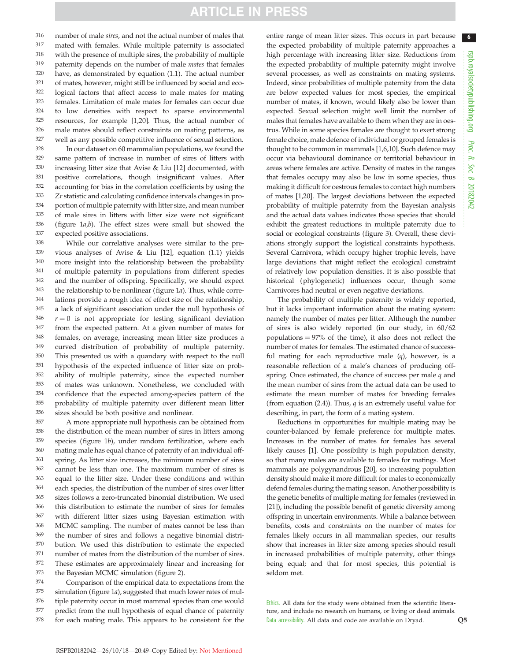316 number of male *sires*, and not the actual number of males that entire range of mean litter sizes. This occurs in part because mated with females. While multiple paternity is associated with the presence of multiple sires, the probability of multiple paternity depends on the number of male mates that females have, as demonstrated by equation (1.1). The actual number of mates, however, might still be influenced by social and ecological factors that affect access to male mates for mating females. Limitation of male mates for females can occur due to low densities with respect to sparse environmental resources, for example [1,20]. Thus, the actual number of male mates should reflect constraints on mating patterns, as well as any possible competitive influence of sexual selection. In our dataset on 60 mammalian populations, we found the same pattern of increase in number of sires of litters with increasing litter size that Avise & Liu [12] documented, with positive correlations, though insignificant values. After accounting for bias in the correlation coefficients by using the 317 318 319 320 321 322 323 324 325 326 327 328 329 330 331 332

Zr statistic and calculating confidence intervals changes in proportion of multiple paternity with litter size, and mean number of male sires in litters with litter size were not significant (figure 1a,b). The effect sizes were small but showed the expected positive associations. 333 334 335 336 337

While our correlative analyses were similar to the previous analyses of Avise & Liu [12], equation (1.1) yields more insight into the relationship between the probability of multiple paternity in populations from different species and the number of offspring. Specifically, we should expect the relationship to be nonlinear (figure 1a). Thus, while correlations provide a rough idea of effect size of the relationship, a lack of significant association under the null hypothesis of  $r = 0$  is not appropriate for testing significant deviation from the expected pattern. At a given number of mates for females, on average, increasing mean litter size produces a curved distribution of probability of multiple paternity. This presented us with a quandary with respect to the null hypothesis of the expected influence of litter size on probability of multiple paternity, since the expected number of mates was unknown. Nonetheless, we concluded with confidence that the expected among-species pattern of the probability of multiple paternity over different mean litter sizes should be both positive and nonlinear. 338 339 340 341 342 343 344 345 346 347 348 349 350 351 352 353 354 355 356

A more appropriate null hypothesis can be obtained from the distribution of the mean number of sires in litters among species (figure 1b), under random fertilization, where each mating male has equal chance of paternity of an individual offspring. As litter size increases, the minimum number of sires cannot be less than one. The maximum number of sires is equal to the litter size. Under these conditions and within each species, the distribution of the number of sires over litter sizes follows a zero-truncated binomial distribution. We used this distribution to estimate the number of sires for females with different litter sizes using Bayesian estimation with MCMC sampling. The number of mates cannot be less than the number of sires and follows a negative binomial distribution. We used this distribution to estimate the expected number of mates from the distribution of the number of sires. These estimates are approximately linear and increasing for the Bayesian MCMC simulation (figure 2). 357 358 359 360 361 362 363 364 365 366 367 368 369 370 371 372 373

Comparison of the empirical data to expectations from the simulation (figure 1a), suggested that much lower rates of multiple paternity occur in most mammal species than one would predict from the null hypothesis of equal chance of paternity for each mating male. This appears to be consistent for the 374 375 376 377 378

entire range of mean litter sizes. This occurs in part because the expected probability of multiple paternity approaches a high percentage with increasing litter size. Reductions from the expected probability of multiple paternity might involve several processes, as well as constraints on mating systems. Indeed, since probabilities of multiple paternity from the data are below expected values for most species, the empirical number of mates, if known, would likely also be lower than expected. Sexual selection might well limit the number of males that females have available to them when they are in oestrus. While in some species females are thought to exert strong female choice, male defence of individual or grouped females is thought to be common in mammals [1,6,10]. Such defence may occur via behavioural dominance or territorial behaviour in areas where females are active. Density of mates in the ranges that females occupy may also be low in some species, thus making it difficult for oestrous females to contact high numbers of mates [1,20]. The largest deviations between the expected probability of multiple paternity from the Bayesian analysis and the actual data values indicates those species that should exhibit the greatest reductions in multiple paternity due to social or ecological constraints (figure 3). Overall, these deviations strongly support the logistical constraints hypothesis. Several Carnivora, which occupy higher trophic levels, have large deviations that might reflect the ecological constraint of relatively low population densities. It is also possible that historical (phylogenetic) influences occur, though some Carnivores had neutral or even negative deviations. high percentage with irrevaing litter size Reductions from the sense are available on Dryad. Blooding to matting spears, as well as containing somethy might involve<br>directly after the constraints on matting spearsity from

The probability of multiple paternity is widely reported, but it lacks important information about the mating system: namely the number of mates per litter. Although the number of sires is also widely reported (in our study, in 60/62 populations  $= 97\%$  of the time), it also does not reflect the number of mates for females. The estimated chance of successful mating for each reproductive male  $(q)$ , however, is a reasonable reflection of a male's chances of producing offspring. Once estimated, the chance of success per male  $q$  and the mean number of sires from the actual data can be used to estimate the mean number of mates for breeding females (from equation  $(2.4)$ ). Thus, q is an extremely useful value for describing, in part, the form of a mating system.

Reductions in opportunities for multiple mating may be counter-balanced by female preference for multiple mates. Increases in the number of mates for females has several likely causes [1]. One possibility is high population density, so that many males are available to females for matings. Most mammals are polygynandrous [20], so increasing population density should make it more difficult for males to economically defend females during the mating season. Another possibility is the genetic benefits of multiple mating for females (reviewed in [21]), including the possible benefit of genetic diversity among offspring in uncertain environments. While a balance between benefits, costs and constraints on the number of mates for females likely occurs in all mammalian species, our results show that increases in litter size among species should result in increased probabilities of multiple paternity, other things being equal; and that for most species, this potential is seldom met.

Ethics. All data for the study were obtained from the scientific literature, and include no research on humans, or living or dead animals.